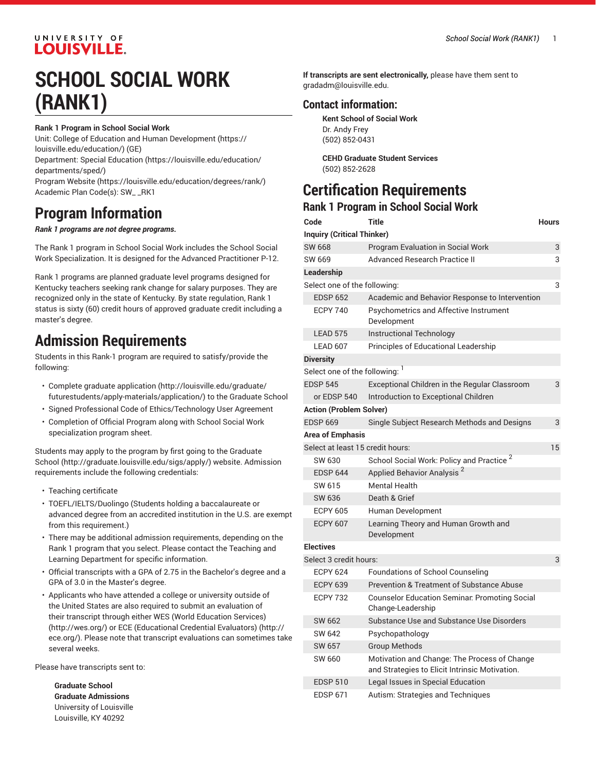# UNIVERSITY OF **LOUISVILLE.**

# **SCHOOL SOCIAL WORK (RANK1)**

#### **Rank 1 Program in School Social Work**

Unit: College of Education and Human [Development \(https://](https://louisville.edu/education/) [louisville.edu/education/](https://louisville.edu/education/)) (GE) Department: Special [Education](https://louisville.edu/education/departments/sped/) ([https://louisville.edu/education/](https://louisville.edu/education/departments/sped/)

[departments/sped/](https://louisville.edu/education/departments/sped/))

[Program](https://louisville.edu/education/degrees/rank/) Website [\(https://louisville.edu/education/degrees/rank/](https://louisville.edu/education/degrees/rank/)) Academic Plan Code(s): SW\_ \_RK1

# **Program Information**

#### *Rank 1 programs are not degree programs.*

The Rank 1 program in School Social Work includes the School Social Work Specialization. It is designed for the Advanced Practitioner P-12.

Rank 1 programs are planned graduate level programs designed for Kentucky teachers seeking rank change for salary purposes. They are recognized only in the state of Kentucky. By state regulation, Rank 1 status is sixty (60) credit hours of approved graduate credit including a master's degree.

# **Admission Requirements**

Students in this Rank-1 program are required to satisfy/provide the following:

- Complete [graduate application](http://louisville.edu/graduate/futurestudents/apply-materials/application/) [\(http://louisville.edu/graduate/](http://louisville.edu/graduate/futurestudents/apply-materials/application/) [futurestudents/apply-materials/application/\)](http://louisville.edu/graduate/futurestudents/apply-materials/application/) to the Graduate School
- Signed Professional Code of Ethics/Technology User Agreement
- Completion of Official Program along with School Social Work specialization program sheet.

Students may apply to the program by first going to the [Graduate](http://graduate.louisville.edu/sigs/apply/) [School \(http://graduate.louisville.edu/sigs/apply/](http://graduate.louisville.edu/sigs/apply/)) website. Admission requirements include the following credentials:

- Teaching certificate
- TOEFL/IELTS/Duolingo (Students holding a baccalaureate or advanced degree from an accredited institution in the U.S. are exempt from this requirement.)
- There may be additional admission requirements, depending on the Rank 1 program that you select. Please contact the Teaching and Learning Department for specific information.
- Official transcripts with a GPA of 2.75 in the Bachelor's degree and a GPA of 3.0 in the Master's degree.
- Applicants who have attended a college or university outside of the United States are also required to submit an evaluation of their transcript through either WES (World [Education](http://wes.org/) Services) ([http://wes.org/\)](http://wes.org/) or ECE [\(Educational](http://ece.org/) Credential Evaluators) ([http://](http://ece.org/) [ece.org/\)](http://ece.org/). Please note that transcript evaluations can sometimes take several weeks.

Please have transcripts sent to:

**Graduate School Graduate Admissions**  University of Louisville Louisville, KY 40292

**If transcripts are sent electronically,** please have them sent to [gradadm@louisville.edu.](mailto:gradadm@louisville.edu)

# **Contact information:**

**Kent School of Social Work** Dr. Andy Frey (502) 852-0431

**CEHD Graduate Student Services** (502) 852-2628

# **Certification Requirements**

### **Rank 1 Program in School Social Work**

| Code                              | Title                                                                                          | <b>Hours</b> |
|-----------------------------------|------------------------------------------------------------------------------------------------|--------------|
| <b>Inquiry (Critical Thinker)</b> |                                                                                                |              |
| SW 668                            | Program Evaluation in Social Work                                                              | 3            |
| SW 669                            | Advanced Research Practice II                                                                  | 3            |
| Leadership                        |                                                                                                |              |
| Select one of the following:      |                                                                                                | 3            |
| <b>EDSP 652</b>                   | Academic and Behavior Response to Intervention                                                 |              |
| <b>ECPY 740</b>                   | Psychometrics and Affective Instrument<br>Development                                          |              |
| <b>LEAD 575</b>                   | Instructional Technology                                                                       |              |
| LEAD 607                          | Principles of Educational Leadership                                                           |              |
| <b>Diversity</b>                  |                                                                                                |              |
| Select one of the following: 1    |                                                                                                |              |
| <b>EDSP 545</b>                   | Exceptional Children in the Regular Classroom                                                  | 3            |
| or EDSP 540                       | Introduction to Exceptional Children                                                           |              |
| <b>Action (Problem Solver)</b>    |                                                                                                |              |
| <b>EDSP 669</b>                   | Single Subject Research Methods and Designs                                                    | 3            |
| Area of Emphasis                  |                                                                                                |              |
| Select at least 15 credit hours:  |                                                                                                | 15           |
| SW 630                            | School Social Work: Policy and Practice <sup>2</sup>                                           |              |
| <b>EDSP 644</b>                   | Applied Behavior Analysis <sup>2</sup>                                                         |              |
| SW 615                            | <b>Mental Health</b>                                                                           |              |
| SW 636                            | Death & Grief                                                                                  |              |
| <b>ECPY 605</b>                   | Human Development                                                                              |              |
| <b>ECPY 607</b>                   | Learning Theory and Human Growth and<br>Development                                            |              |
| <b>Electives</b>                  |                                                                                                |              |
| Select 3 credit hours:            |                                                                                                | 3            |
| <b>ECPY 624</b>                   | <b>Foundations of School Counseling</b>                                                        |              |
| <b>ECPY 639</b>                   | Prevention & Treatment of Substance Abuse                                                      |              |
| <b>ECPY 732</b>                   | <b>Counselor Education Seminar: Promoting Social</b><br>Change-Leadership                      |              |
| SW 662                            | Substance Use and Substance Use Disorders                                                      |              |
| SW 642                            | Psychopathology                                                                                |              |
| SW 657                            | <b>Group Methods</b>                                                                           |              |
| SW 660                            | Motivation and Change: The Process of Change<br>and Strategies to Elicit Intrinsic Motivation. |              |
| <b>EDSP 510</b>                   | Legal Issues in Special Education                                                              |              |
| <b>EDSP 671</b>                   | Autism: Strategies and Techniques                                                              |              |